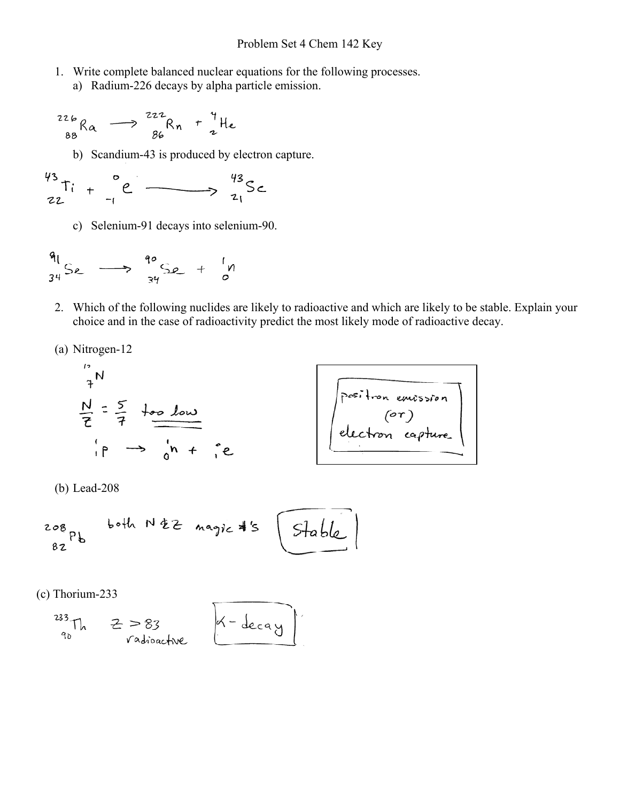- 1. Write complete balanced nuclear equations for the following processes.
	- a) Radium-226 decays by alpha particle emission.

$$
{}^{226}_{88}R_{\alpha} \longrightarrow {}^{222}_{86}R_{n} + {}^{4}_{2}He
$$

b) Scandium-43 is produced by electron capture.

$$
\begin{array}{ccc}\n\frac{43}{16} & \frac{6}{16} & \frac{43}{16} & \frac{43}{16} & \frac{6}{16}\n\end{array}
$$

c) Selenium-91 decays into selenium-90.

$$
\frac{q_1}{34}Se \longrightarrow \frac{q_0}{34}Se + \frac{1}{9}M
$$

2. Which of the following nuclides are likely to radioactive and which are likely to be stable. Explain your choice and in the case of radioactivity predict the most likely mode of radioactive decay.

 $\sim$   $\sim$ 

(a) Nitrogen-12

$$
\frac{N}{7} = \frac{5}{7} + \frac{1}{10}
$$
  

$$
\frac{N}{7} = \frac{5}{7} + \frac{1}{10}
$$
  

$$
\frac{1}{10} \rightarrow \frac{1}{10} + \frac{2}{10}
$$

(b) Lead-208

$$
\begin{array}{ccccc}\n & & \text{both} & \text{if } z \text{ maps } * & \text{Stable} \\
 & & & \\
 & & & \\
\end{array}
$$

 $\overline{ }$ 

(c) Thorium-233

$$
^{233}
$$
Th  $z > 83$   
\n $^{233}$ Th radius of  $x = 1$  decay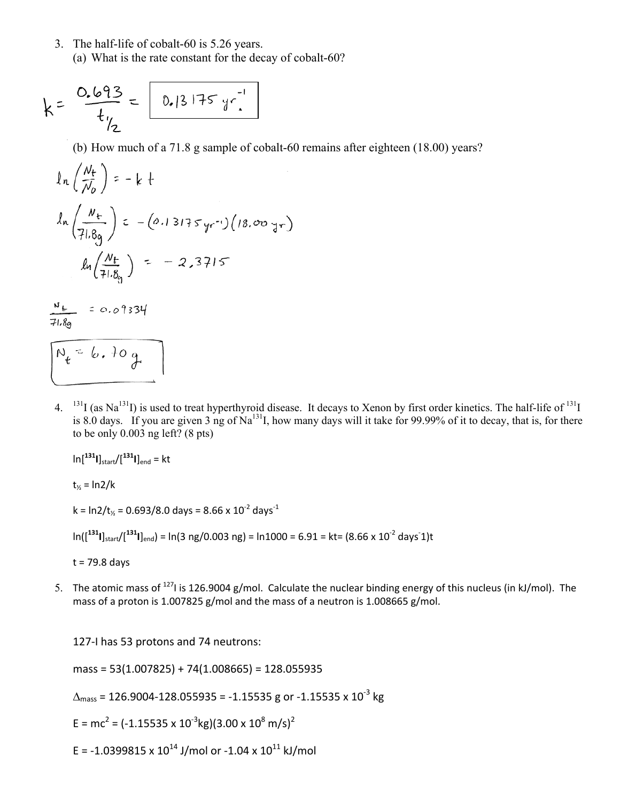3. The half-life of cobalt-60 is 5.26 years. (a) What is the rate constant for the decay of cobalt-60?

$$
k = \frac{0.693}{t_{12}} = \boxed{0.13175 \, yr^{-1}}
$$

(b) How much of a 71.8 g sample of cobalt-60 remains after eighteen (18.00) years?

$$
\ln\left(\frac{N_{t}}{N_{0}}\right) = -k +
$$
\n
$$
\ln\left(\frac{N_{t}}{71.8g}\right) = -(0.13175 \text{ yr}^{-1})(18.00 \text{ yr})
$$
\n
$$
\ln\left(\frac{N_{t}}{71.8g}\right) = -2.3715
$$

 $\frac{N_{c}}{71.8g}$  = 0.09334

- $N_t = 6.709$
- 4. <sup>131</sup>I (as Na<sup>131</sup>I) is used to treat hyperthyroid disease. It decays to Xenon by first order kinetics. The half-life of <sup>131</sup>I is 8.0 days. If you are given 3 ng of Na<sup>131</sup>I, how many days will it take for 99.99% of it to decay, that is, for there to be only 0.003 ng left? (8 pts)

 $\ln[\frac{131}{\text{I}}]_{\text{start}}/[\frac{131}{\text{I}}]_{\text{end}} = \text{kt}$ 

 $t_{\frac{1}{2}} = \ln 2/k$ 

 $k = \ln 2/t$ <sub>%</sub> = 0.693/8.0 days = 8.66 x 10<sup>-2</sup> days<sup>-1</sup>

 $ln([^{131}I]_{\rm start}/[^{131}I]_{\rm end}) = ln(3~\rm ng/0.003~\rm ng) = ln1000 = 6.91 = kt = (8.66 \times 10^{-2} \text{ days}^{-1})t$ 

 $t = 79.8$  days

5. The atomic mass of 127I is 126.9004 g/mol. Calculate the nuclear binding energy of this nucleus (in kJ/mol). The mass of a proton is 1.007825 g/mol and the mass of a neutron is 1.008665 g/mol.

127-I has 53 protons and 74 neutrons:

 $mass = 53(1.007825) + 74(1.008665) = 128.055935$ 

 $\Delta_{\text{mass}}$  = 126.9004-128.055935 = -1.15535 g or -1.15535 x 10<sup>-3</sup> kg

E = mc<sup>2</sup> = (-1.15535 x 10<sup>-3</sup>kg)(3.00 x 10<sup>8</sup> m/s)<sup>2</sup>

E = -1.0399815 x  $10^{14}$  J/mol or -1.04 x  $10^{11}$  kJ/mol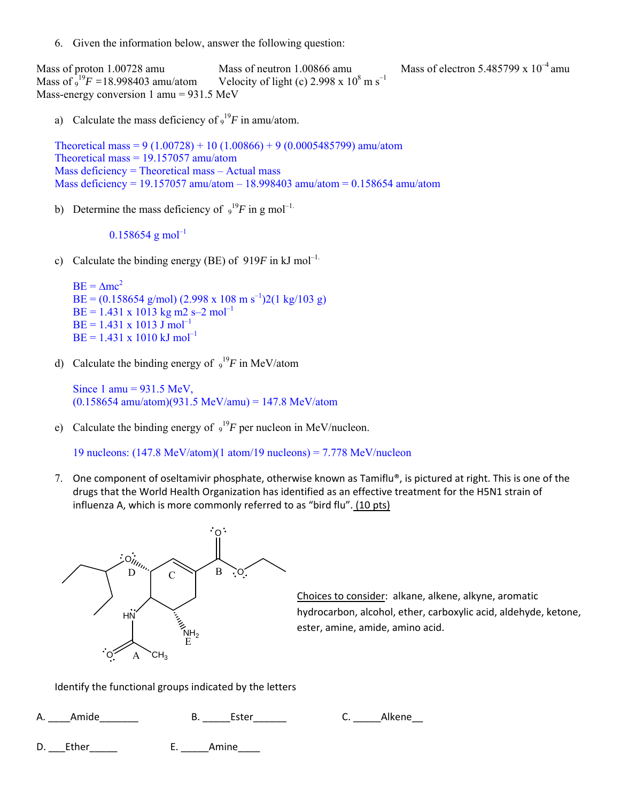6. Given the information below, answer the following question:

Mass of proton 1.00728 amu Mass of neutron 1.00866 amu Mass of electron 5.485799 x  $10^{-4}$  amu Mass of 9 <sup>19</sup>F = 18.998403 amu/atom Velocity of light (c) 2.998 x 10<sup>8</sup> m s<sup>-1</sup> Mass-energy conversion 1 amu = 931.5 MeV

a) Calculate the mass deficiency of  $9^{19}F$  in amu/atom.

Theoretical mass = 9 (1.00728) + 10 (1.00866) + 9 (0.0005485799) amu/atom Theoretical mass  $= 19.157057$  amu/atom Mass deficiency = Theoretical mass – Actual mass Mass deficiency = 19.157057 amu/atom – 18.998403 amu/atom = 0.158654 amu/atom

b) Determine the mass deficiency of  $9^{19}F$  in g mol<sup>-1.</sup>

## $0.158654$  g mol<sup>-1</sup>

c) Calculate the binding energy (BE) of  $919F$  in kJ mol<sup>-1.</sup>

```
BE = Amc^2BE = (0.158654 \text{ g/mol}) (2.998 \text{ x } 108 \text{ m s}^{-1})2(1 \text{ kg}/103 \text{ g})BE = 1.431 \times 1013 kg m2 s–2 mol<sup>-1</sup>
BE = 1.431 \times 1013 J mol<sup>-1</sup>
BE = 1.431 \times 1010 \text{ kJ} \text{ mol}^{-1}
```
d) Calculate the binding energy of  $9^{19}F$  in MeV/atom

Since 1 amu =  $931.5$  MeV,  $(0.158654$  amu/atom)(931.5 MeV/amu) = 147.8 MeV/atom

e) Calculate the binding energy of  $9^{19}F$  per nucleon in MeV/nucleon.

19 nucleons: (147.8 MeV/atom)(1 atom/19 nucleons) = 7.778 MeV/nucleon

7. One component of oseltamivir phosphate, otherwise known as Tamiflu®, is pictured at right. This is one of the drugs that the World Health Organization has identified as an effective treatment for the H5N1 strain of influenza A, which is more commonly referred to as "bird flu". (10 pts)



Choices to consider: alkane, alkene, alkyne, aromatic hydrocarbon, alcohol, ether, carboxylic acid, aldehyde, ketone, ester, amine, amide, amino acid.

Identify the functional groups indicated by the letters

A. Amide B. Ester C. Alkene

D. Ether E. Amine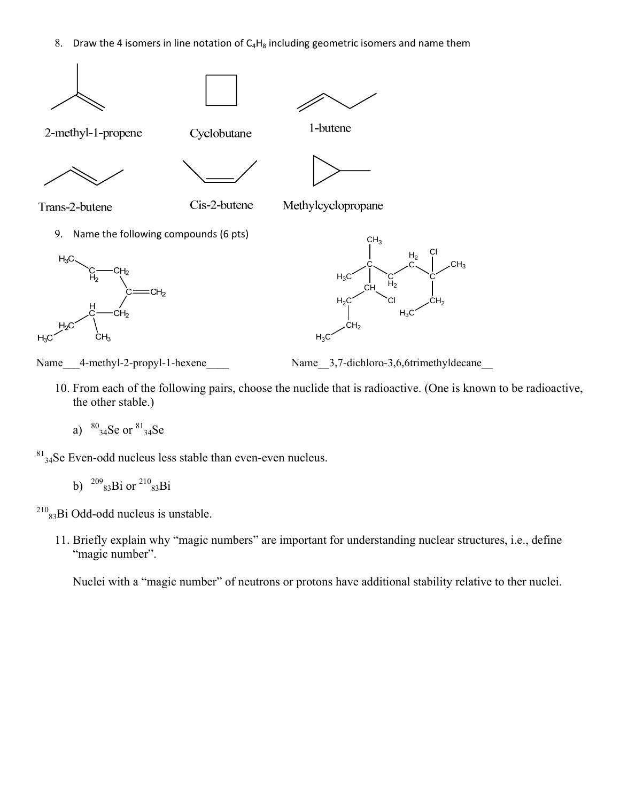8. Draw the 4 isomers in line notation of  $C_4H_8$  including geometric isomers and name them





Name 4-methyl-2-propyl-1-hexene Name 3,7-dichloro-3,6,6trimethyldecane

 $CH<sub>2</sub>$ 

 $H_3C$ 

10. From each of the following pairs, choose the nuclide that is radioactive. (One is known to be radioactive, the other stable.)

 $H_3C$ 

a)  $^{80}_{34}$ Se or  $^{81}_{34}$ Se

 $81_{34}$ Se Even-odd nucleus less stable than even-even nucleus.

b)  $^{209}$ <sub>83</sub>Bi or  $^{210}$ <sub>83</sub>Bi

 $^{210}$ <sub>83</sub>Bi Odd-odd nucleus is unstable.

11. Briefly explain why "magic numbers" are important for understanding nuclear structures, i.e., define "magic number".

Nuclei with a "magic number" of neutrons or protons have additional stability relative to ther nuclei.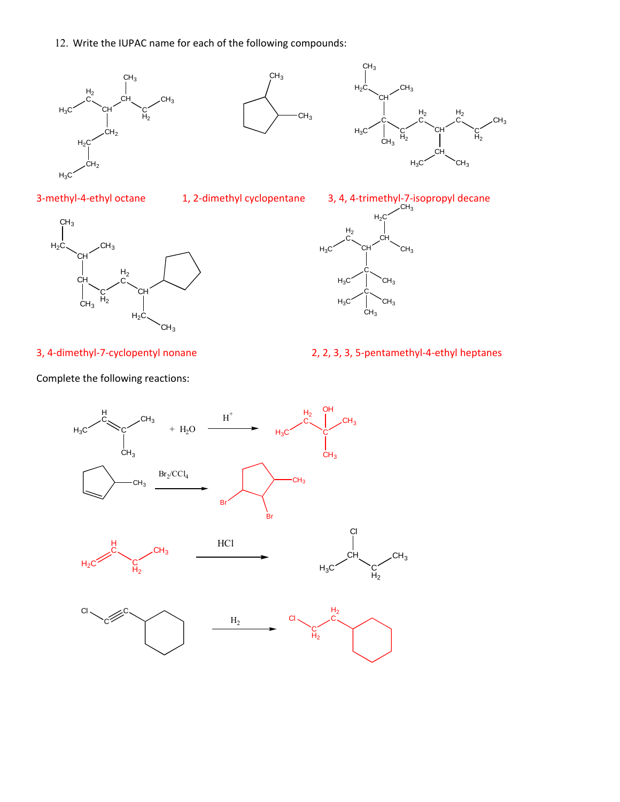12. Write the IUPAC name for each of the following compounds:













3, 4‐dimethyl‐7‐cyclopentyl nonane 2, 2, 3, 3, 5‐pentamethyl‐4‐ethyl heptanes

Complete the following reactions:

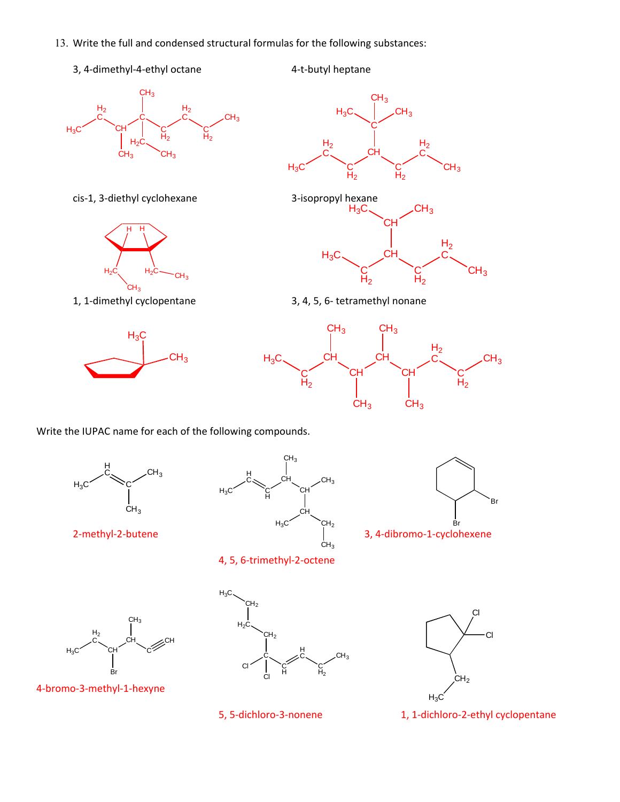- 13. Write the full and condensed structural formulas for the following substances:
	- 3, 4‐dimethyl‐4‐ethyl octane 4‐t‐butyl heptane



cis‐1, 3‐diethyl cyclohexane 3‐isopropyl hexane









1, 1‐dimethyl cyclopentane 3, 4, 5, 6‐ tetramethyl nonane



Write the IUPAC name for each of the following compounds.









 $CH<sub>3</sub>$ 



4‐bromo‐3‐methyl‐1‐hexyne







5, 5‐dichloro‐3‐nonene 1, 1‐dichloro‐2‐ethyl cyclopentane